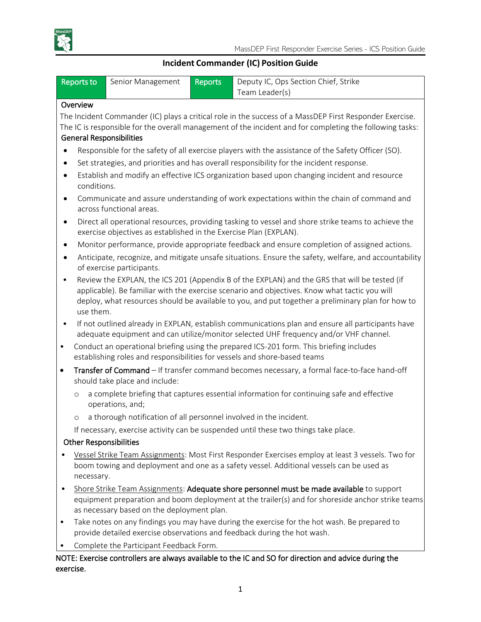

# **Incident Commander (IC) Position Guide**

| <b>Reports to</b>                                                                                                  | Senior Management                                                                                                                                                                                       | <b>Reports</b> | Deputy IC, Ops Section Chief, Strike<br>Team Leader(s)                                                  |  |  |  |  |
|--------------------------------------------------------------------------------------------------------------------|---------------------------------------------------------------------------------------------------------------------------------------------------------------------------------------------------------|----------------|---------------------------------------------------------------------------------------------------------|--|--|--|--|
| Overview                                                                                                           |                                                                                                                                                                                                         |                |                                                                                                         |  |  |  |  |
|                                                                                                                    |                                                                                                                                                                                                         |                | The Incident Commander (IC) plays a critical role in the success of a MassDEP First Responder Exercise. |  |  |  |  |
| The IC is responsible for the overall management of the incident and for completing the following tasks:           |                                                                                                                                                                                                         |                |                                                                                                         |  |  |  |  |
| <b>General Responsibilities</b>                                                                                    |                                                                                                                                                                                                         |                |                                                                                                         |  |  |  |  |
| Responsible for the safety of all exercise players with the assistance of the Safety Officer (SO).<br>$\bullet$    |                                                                                                                                                                                                         |                |                                                                                                         |  |  |  |  |
| Set strategies, and priorities and has overall responsibility for the incident response.<br>$\bullet$              |                                                                                                                                                                                                         |                |                                                                                                         |  |  |  |  |
| Establish and modify an effective ICS organization based upon changing incident and resource<br>$\bullet$          |                                                                                                                                                                                                         |                |                                                                                                         |  |  |  |  |
|                                                                                                                    | conditions.                                                                                                                                                                                             |                |                                                                                                         |  |  |  |  |
| Communicate and assure understanding of work expectations within the chain of command and<br>$\bullet$             |                                                                                                                                                                                                         |                |                                                                                                         |  |  |  |  |
|                                                                                                                    | across functional areas.                                                                                                                                                                                |                |                                                                                                         |  |  |  |  |
| $\bullet$                                                                                                          | Direct all operational resources, providing tasking to vessel and shore strike teams to achieve the                                                                                                     |                |                                                                                                         |  |  |  |  |
| exercise objectives as established in the Exercise Plan (EXPLAN).                                                  |                                                                                                                                                                                                         |                |                                                                                                         |  |  |  |  |
| Monitor performance, provide appropriate feedback and ensure completion of assigned actions.<br>$\bullet$          |                                                                                                                                                                                                         |                |                                                                                                         |  |  |  |  |
| Anticipate, recognize, and mitigate unsafe situations. Ensure the safety, welfare, and accountability<br>$\bullet$ |                                                                                                                                                                                                         |                |                                                                                                         |  |  |  |  |
|                                                                                                                    | of exercise participants.                                                                                                                                                                               |                |                                                                                                         |  |  |  |  |
| $\bullet$                                                                                                          | Review the EXPLAN, the ICS 201 (Appendix B of the EXPLAN) and the GRS that will be tested (if                                                                                                           |                |                                                                                                         |  |  |  |  |
|                                                                                                                    | applicable). Be familiar with the exercise scenario and objectives. Know what tactic you will                                                                                                           |                |                                                                                                         |  |  |  |  |
|                                                                                                                    | deploy, what resources should be available to you, and put together a preliminary plan for how to                                                                                                       |                |                                                                                                         |  |  |  |  |
| use them.                                                                                                          |                                                                                                                                                                                                         |                |                                                                                                         |  |  |  |  |
|                                                                                                                    | If not outlined already in EXPLAN, establish communications plan and ensure all participants have<br>$\bullet$<br>adequate equipment and can utilize/monitor selected UHF frequency and/or VHF channel. |                |                                                                                                         |  |  |  |  |
| Conduct an operational briefing using the prepared ICS-201 form. This briefing includes<br>$\bullet$               |                                                                                                                                                                                                         |                |                                                                                                         |  |  |  |  |
| establishing roles and responsibilities for vessels and shore-based teams                                          |                                                                                                                                                                                                         |                |                                                                                                         |  |  |  |  |
| $\bullet$                                                                                                          | Transfer of Command - If transfer command becomes necessary, a formal face-to-face hand-off<br>should take place and include:                                                                           |                |                                                                                                         |  |  |  |  |
| $\circ$                                                                                                            | a complete briefing that captures essential information for continuing safe and effective<br>operations, and;                                                                                           |                |                                                                                                         |  |  |  |  |
| $\circ$                                                                                                            | a thorough notification of all personnel involved in the incident.                                                                                                                                      |                |                                                                                                         |  |  |  |  |
|                                                                                                                    | If necessary, exercise activity can be suspended until these two things take place.                                                                                                                     |                |                                                                                                         |  |  |  |  |
| <b>Other Responsibilities</b>                                                                                      |                                                                                                                                                                                                         |                |                                                                                                         |  |  |  |  |
|                                                                                                                    |                                                                                                                                                                                                         |                | Vessel Strike Team Assignments: Most First Responder Exercises employ at least 3 vessels. Two for       |  |  |  |  |
|                                                                                                                    | boom towing and deployment and one as a safety vessel. Additional vessels can be used as                                                                                                                |                |                                                                                                         |  |  |  |  |
| necessary.                                                                                                         |                                                                                                                                                                                                         |                |                                                                                                         |  |  |  |  |
| Shore Strike Team Assignments: Adequate shore personnel must be made available to support<br>$\bullet$             |                                                                                                                                                                                                         |                |                                                                                                         |  |  |  |  |
|                                                                                                                    | equipment preparation and boom deployment at the trailer(s) and for shoreside anchor strike teams                                                                                                       |                |                                                                                                         |  |  |  |  |
|                                                                                                                    | as necessary based on the deployment plan.                                                                                                                                                              |                |                                                                                                         |  |  |  |  |
| $\bullet$                                                                                                          | Take notes on any findings you may have during the exercise for the hot wash. Be prepared to                                                                                                            |                |                                                                                                         |  |  |  |  |
|                                                                                                                    | provide detailed exercise observations and feedback during the hot wash.                                                                                                                                |                |                                                                                                         |  |  |  |  |
|                                                                                                                    | Complete the Participant Feedback Form.<br>NOTE: Exercise controllers are always available to the IC and SO for direction and advice during the                                                         |                |                                                                                                         |  |  |  |  |

NOTE: Exercise controllers are always available to the IC and SO for direction and advice during the exercise.